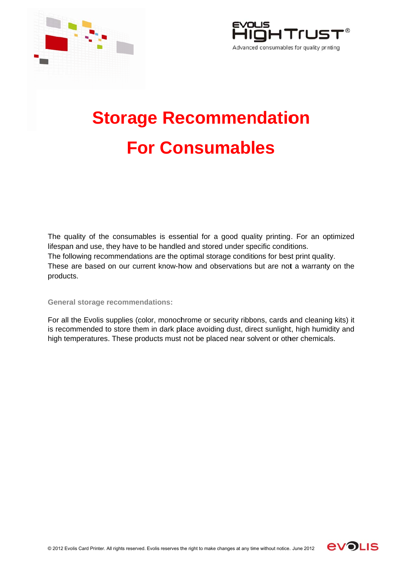



## **Storage Recommendation For Consumables**

The quality of the consumables is essential for a good quality printing. For an optimized lifespan and use, they have to be handled and stored under specific conditions. The following recommendations are the optimal storage conditions for best print quality. These are based on our current know-how and observations but are not a warranty on the products.

## **General storage recommendations:**

For all the Evolis supplies (color, monochrome or security ribbons, cards and cleaning kits) it is recommended to store them in dark place avoiding dust, direct sunlight, high humidity and high temperatures. These products must not be placed near solvent or other chemicals.

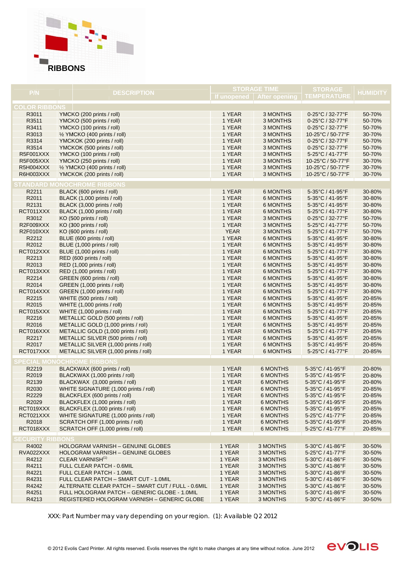

|                         |                                                   | <b>STORAGE TIME</b> |                 | <b>STORAGE</b>                            |                 |  |  |  |  |
|-------------------------|---------------------------------------------------|---------------------|-----------------|-------------------------------------------|-----------------|--|--|--|--|
| P/N                     | <b>DESCRIPTION</b>                                |                     |                 | If unopened   After opening   TEMPERATURE | <b>HUMIDITY</b> |  |  |  |  |
|                         |                                                   |                     |                 |                                           |                 |  |  |  |  |
| <b>COLOR RIBBONS</b>    |                                                   |                     |                 |                                           |                 |  |  |  |  |
| R3011                   | YMCKO (200 prints / roll)                         | 1 YEAR              | 3 MONTHS        | 0-25°C / 32-77°F                          | 50-70%          |  |  |  |  |
| R3511                   | YMCKO (500 prints / roll)                         | 1 YEAR              | 3 MONTHS        | 0-25°C / 32-77°F                          | 50-70%          |  |  |  |  |
| R3411                   | YMCKO (100 prints / roll)                         | 1 YEAR              | 3 MONTHS        | 0-25°C / 32-77°F                          | 50-70%          |  |  |  |  |
| R3013                   | 1/2 YMCKO (400 prints / roll)                     | 1 YEAR              | 3 MONTHS        | 10-25°C / 50-77°F                         | 30-70%          |  |  |  |  |
| R3314                   | YMCKOK (200 prints / roll)                        | 1 YEAR              | 3 MONTHS        | 0-25°C / 32-77°F                          | 50-70%          |  |  |  |  |
| R3514                   | YMCKOK (500 prints / roll)                        | 1 YEAR              | 3 MONTHS        | 0-25°C / 32-77°F                          | 50-70%          |  |  |  |  |
| <b>R5F001XXX</b>        | YMCKO (100 prints / roll)                         | 1 YEAR              | 3 MONTHS        | 5-25°C / 41-77°F                          | 50-70%          |  |  |  |  |
| R5F005XXX               | YMCKO (250 prints / roll)                         | 1 YEAR              | 3 MONTHS        | 10-25°C / 50-77°F                         | 30-70%          |  |  |  |  |
| R5H004XXX               | 1/2 YMCKO (400 prints / roll)                     | 1 YEAR              | 3 MONTHS        | 10-25°C / 50-77°F                         | 30-70%          |  |  |  |  |
| R6H003XXX               | YMCKOK (200 prints / roll)                        | 1 YEAR              | 3 MONTHS        | 10-25°C / 50-77°F                         | 30-70%          |  |  |  |  |
|                         | <b>STANDARD MONOCHROME RIBBONS</b>                |                     |                 |                                           |                 |  |  |  |  |
| R2211                   | BLACK (600 prints / roll)                         | 1 YEAR              | 6 MONTHS        | 5-35°C / 41-95°F                          | 30-80%          |  |  |  |  |
| R2011                   | BLACK (1,000 prints / roll)                       | 1 YEAR              | 6 MONTHS        | 5-35°C / 41-95°F                          | 30-80%          |  |  |  |  |
| R2131                   | BLACK (3,000 prints / roll)                       | 1 YEAR              | 6 MONTHS        | 5-35°C / 41-95°F                          | 30-80%          |  |  |  |  |
| RCT011XXX               | BLACK (1,000 prints / roll)                       | 1 YEAR              | 6 MONTHS        | 5-25°C / 41-77°F                          | 30-80%          |  |  |  |  |
| R3012                   | KO (500 prints / roll)                            | 1 YEAR              | 3 MONTHS        | 0-25°C / 32-77°F                          | 50-70%          |  |  |  |  |
| R2F009XXX               | KO (300 prints / roll)                            | 1 YEAR              | 3 MONTHS        | 5-25°C / 41-77°F                          | 50-70%          |  |  |  |  |
| R2F010XXX               | KO (600 prints / roll)                            | <b>YEAR</b>         | 3 MONTHS        | 5-25°C / 41-77°F                          | 50-70%          |  |  |  |  |
| R2212                   | BLUE (600 prints / roll)                          | 1 YEAR              | 6 MONTHS        | 5-35°C / 41-95°F                          | 30-80%          |  |  |  |  |
| R2012                   | BLUE (1,000 prints / roll)                        | 1 YEAR              | 6 MONTHS        | 5-35°C / 41-95°F                          | 30-80%          |  |  |  |  |
| RCT012XXX               | BLUE (1,000 prints / roll)                        | 1 YEAR              | 6 MONTHS        | 5-25°C / 41-77°F                          | 30-80%          |  |  |  |  |
| R2213                   | RED (600 prints / roll)                           | 1 YEAR              | 6 MONTHS        | 5-35°C / 41-95°F                          | 30-80%          |  |  |  |  |
| R2013                   | RED (1,000 prints / roll)                         | 1 YEAR              | 6 MONTHS        | 5-35°C / 41-95°F                          | 30-80%          |  |  |  |  |
| RCT013XXX               | RED (1,000 prints / roll)                         | 1 YEAR              | 6 MONTHS        | 5-25°C / 41-77°F                          | 30-80%          |  |  |  |  |
| R2214                   | GREEN (600 prints / roll)                         | 1 YEAR              | 6 MONTHS        | 5-35°C / 41-95°F                          | 30-80%          |  |  |  |  |
| R2014                   | GREEN (1,000 prints / roll)                       | 1 YEAR              | 6 MONTHS        | 5-35°C / 41-95°F                          | 30-80%          |  |  |  |  |
| RCT014XXX               | GREEN (1,000 prints / roll)                       | 1 YEAR              | 6 MONTHS        | 5-25°C / 41-77°F                          | 30-80%          |  |  |  |  |
| R2215                   | WHITE (500 prints / roll)                         | 1 YEAR              | 6 MONTHS        | 5-35°C / 41-95°F                          | 20-85%          |  |  |  |  |
| R2015                   | WHITE (1,000 prints / roll)                       | 1 YEAR              | 6 MONTHS        | 5-35°C / 41-95°F                          | 20-85%          |  |  |  |  |
| RCT015XXX               | WHITE (1,000 prints / roll)                       | 1 YEAR              | 6 MONTHS        | 5-25°C / 41-77°F                          | 20-85%          |  |  |  |  |
| R2216                   | METALLIC GOLD (500 prints / roll)                 | 1 YEAR              | 6 MONTHS        | 5-35°C / 41-95°F                          | 20-85%          |  |  |  |  |
| R2016                   | METALLIC GOLD (1,000 prints / roll)               | 1 YEAR              | 6 MONTHS        | 5-35°C / 41-95°F                          | 20-85%          |  |  |  |  |
| RCT016XXX               | METALLIC GOLD (1,000 prints / roll)               | 1 YEAR              | 6 MONTHS        | 5-25°C / 41-77°F                          | 20-85%          |  |  |  |  |
| R2217                   | METALLIC SILVER (500 prints / roll)               | 1 YEAR              | 6 MONTHS        | 5-35°C / 41-95°F                          | 20-85%          |  |  |  |  |
| R2017                   | METALLIC SILVER (1,000 prints / roll)             | 1 YEAR              | 6 MONTHS        | 5-35°C / 41-95°F                          | 20-85%          |  |  |  |  |
| RCT017XXX               | METALLIC SILVER (1,000 prints / roll)             | 1 YEAR              | 6 MONTHS        | 5-25°C / 41-77°F                          | 20-85%          |  |  |  |  |
|                         |                                                   |                     |                 |                                           |                 |  |  |  |  |
|                         | <b>SPECIAL MONOCHROME RIBBONS</b>                 |                     |                 |                                           |                 |  |  |  |  |
| R2219                   | BLACKWAX (600 prints / roll)                      | 1 YEAR              | <b>6 MONTHS</b> | 5-35°C / 41-95°F                          | 20-80%          |  |  |  |  |
| R2019                   | BLACKWAX (1,000 prints / roll)                    | 1 YEAR              | <b>6 MONTHS</b> | 5-35°C / 41-95°F                          | 20-80%          |  |  |  |  |
| R2139                   | BLACKWAX (3,000 prints / roll)                    | 1 YEAR              | <b>6 MONTHS</b> | 5-35°C / 41-95°F                          | 20-80%          |  |  |  |  |
| R2030                   | WHITE SIGNATURE (1,000 prints / roll)             | 1 YEAR              | <b>6 MONTHS</b> | 5-35°C / 41-95°F                          | 20-85%          |  |  |  |  |
| R2229                   | BLACKFLEX (600 prints / roll)                     | 1 YEAR              | <b>6 MONTHS</b> | 5-35°C / 41-95°F                          | 20-85%          |  |  |  |  |
| R2029                   | BLACKFLEX (1,000 prints / roll)                   | 1 YEAR              | 6 MONTHS        | 5-35°C / 41-95°F                          | 20-85%          |  |  |  |  |
| RCT019XXX               | BLACKFLEX (1,000 prints / roll)                   | 1 YEAR              | <b>6 MONTHS</b> | 5-35°C / 41-95°F                          | 20-85%          |  |  |  |  |
| RCT021XXX               | WHITE SIGNATURE (1,000 prints / roll)             | 1 YEAR              | <b>6 MONTHS</b> | 5-25°C / 41-77°F                          | 20-85%          |  |  |  |  |
| R2018                   | SCRATCH OFF (1,000 prints / roll)                 | 1 YEAR              | <b>6 MONTHS</b> | 5-35°C / 41-95°F                          | 20-85%          |  |  |  |  |
| RCT018XXX               | SCRATCH OFF (1,000 prints / roll)                 | 1 YEAR              | <b>6 MONTHS</b> | 5-25°C / 41-77°F                          | 20-85%          |  |  |  |  |
|                         |                                                   |                     |                 |                                           |                 |  |  |  |  |
| <b>SECURITY RIBBONS</b> |                                                   |                     |                 |                                           |                 |  |  |  |  |
| R4002                   | <b>HOLOGRAM VARNISH - GENUINE GLOBES</b>          | 1 YEAR              | 3 MONTHS        | 5-30°C / 41-86°F                          | 30-50%          |  |  |  |  |
| RVA022XXX               | <b>HOLOGRAM VARNISH - GENUINE GLOBES</b>          | 1 YEAR              | 3 MONTHS        | 5-25°C / 41-77°F                          | 30-50%          |  |  |  |  |
| R4212                   | CLEAR VARNISH <sup>(1)</sup>                      | 1 YEAR              | 3 MONTHS        | 5-30°C / 41-86°F                          | 30-50%          |  |  |  |  |
| R4211                   | FULL CLEAR PATCH - 0.6MIL                         | 1 YEAR              | 3 MONTHS        | 5-30°C / 41-86°F                          | 30-50%          |  |  |  |  |
| R4221                   | FULL CLEAR PATCH - 1.0MIL                         | 1 YEAR              | 3 MONTHS        | 5-30°C / 41-86°F                          | 30-50%          |  |  |  |  |
| R4231                   | FULL CLEAR PATCH - SMART CUT - 1.0MIL             | 1 YEAR              | 3 MONTHS        | 5-30°C / 41-86°F                          | 30-50%          |  |  |  |  |
| R4242                   | ALTERNATE CLEAR PATCH - SMART CUT / FULL - 0.6MIL | 1 YEAR              | 3 MONTHS        | 5-30°C / 41-86°F                          | 30-50%          |  |  |  |  |
| R4251                   | FULL HOLOGRAM PATCH - GENERIC GLOBE - 1.0MIL      | 1 YEAR              | 3 MONTHS        | 5-30°C / 41-86°F                          | 30-50%          |  |  |  |  |
| R4213                   | REGISTERED HOLOGRAM VARNISH - GENERIC GLOBE       | 1 YEAR              | 3 MONTHS        | 5-30°C / 41-86°F                          | 30-50%          |  |  |  |  |

XXX: Part Number may vary depending on your region. (1): Available Q2 2012